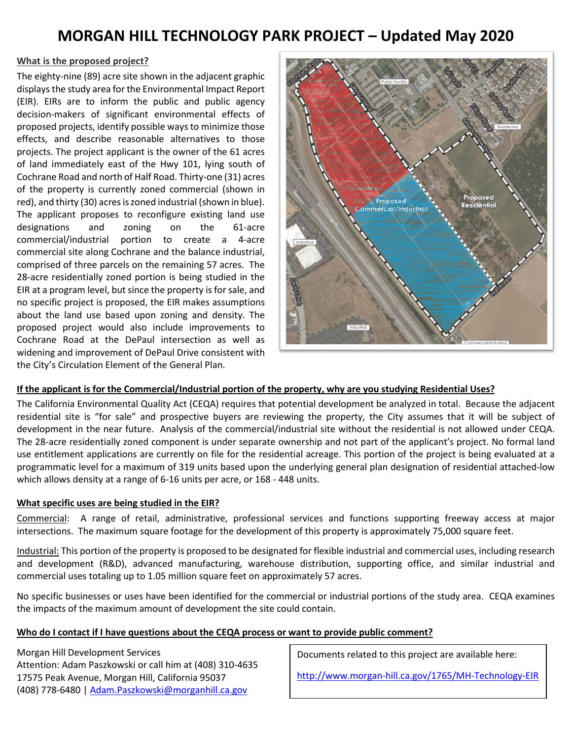# **MORGAN HILL TECHNOLOGY PARK PROJECT – Updated May 2020**

#### **What is the proposed project?**

The eighty-nine (89) acre site shown in the adjacent graphic displays the study area for the Environmental Impact Report (EIR). EIRs are to inform the public and public agency decision-makers of significant environmental effects of proposed projects, identify possible ways to minimize those effects, and describe reasonable alternatives to those projects. The project applicant is the owner of the 61 acres of land immediately east of the Hwy 101, lying south of Cochrane Road and north of Half Road. Thirty-one (31) acres of the property is currently zoned commercial (shown in red), and thirty (30) acres is zoned industrial (shown in blue). The applicant proposes to reconfigure existing land use designations and zoning on the 61-acre commercial/industrial portion to create a 4-acre commercial site along Cochrane and the balance industrial, comprised of three parcels on the remaining 57 acres. The 28-acre residentially zoned portion is being studied in the EIR at a program level, but since the property is for sale, and no specific project is proposed, the EIR makes assumptions about the land use based upon zoning and density. The proposed project would also include improvements to Cochrane Road at the DePaul intersection as well as widening and improvement of DePaul Drive consistent with the City's Circulation Element of the General Plan.



#### **If the applicant is for the Commercial/Industrial portion of the property, why are you studying Residential Uses?**

The California Environmental Quality Act (CEQA) requires that potential development be analyzed in total. Because the adjacent residential site is "for sale" and prospective buyers are reviewing the property, the City assumes that it will be subject of development in the near future. Analysis of the commercial/industrial site without the residential is not allowed under CEQA. The 28-acre residentially zoned component is under separate ownership and not part of the applicant's project. No formal land use entitlement applications are currently on file for the residential acreage. This portion of the project is being evaluated at a programmatic level for a maximum of 319 units based upon the underlying general plan designation of residential attached-low which allows density at a range of 6-16 units per acre, or 168 - 448 units.

#### **What specific uses are being studied in the EIR?**

Commercial: A range of retail, administrative, professional services and functions supporting freeway access at major intersections. The maximum square footage for the development of this property is approximately 75,000 square feet.

Industrial: This portion of the property is proposed to be designated for flexible industrial and commercial uses, including research and development (R&D), advanced manufacturing, warehouse distribution, supporting office, and similar industrial and commercial uses totaling up to 1.05 million square feet on approximately 57 acres.

No specific businesses or uses have been identified for the commercial or industrial portions of the study area. CEQA examines the impacts of the maximum amount of development the site could contain.

#### **Who do I contact if I have questions about the CEQA process or want to provide public comment?**

Morgan Hill Development Services Attention: Adam Paszkowski or call him at (408) 310-4635 17575 Peak Avenue, Morgan Hill, California 95037 (408) 778-6480 | [Adam.Paszkowski@morganhill.ca.gov](mailto:Adam.Paszkowski@morganhill.ca.gov)

Documents related to this project are available here:

<http://www.morgan-hill.ca.gov/1765/MH-Technology-EIR>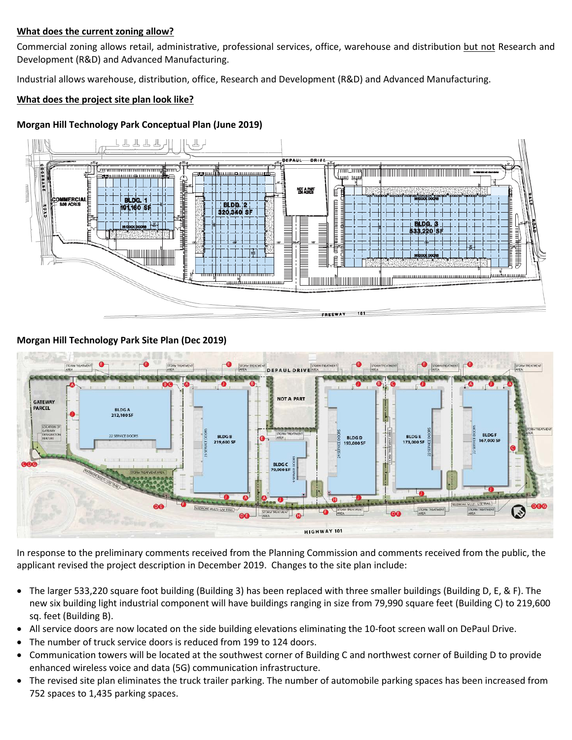#### **What does the current zoning allow?**

Commercial zoning allows retail, administrative, professional services, office, warehouse and distribution but not Research and Development (R&D) and Advanced Manufacturing.

Industrial allows warehouse, distribution, office, Research and Development (R&D) and Advanced Manufacturing.

#### **What does the project site plan look like?**

#### **Morgan Hill Technology Park Conceptual Plan (June 2019)**



#### **Morgan Hill Technology Park Site Plan (Dec 2019)**



In response to the preliminary comments received from the Planning Commission and comments received from the public, the applicant revised the project description in December 2019. Changes to the site plan include:

- The larger 533,220 square foot building (Building 3) has been replaced with three smaller buildings (Building D, E, & F). The new six building light industrial component will have buildings ranging in size from 79,990 square feet (Building C) to 219,600 sq. feet (Building B).
- All service doors are now located on the side building elevations eliminating the 10-foot screen wall on DePaul Drive.
- The number of truck service doors is reduced from 199 to 124 doors.
- Communication towers will be located at the southwest corner of Building C and northwest corner of Building D to provide enhanced wireless voice and data (5G) communication infrastructure.
- The revised site plan eliminates the truck trailer parking. The number of automobile parking spaces has been increased from 752 spaces to 1,435 parking spaces.